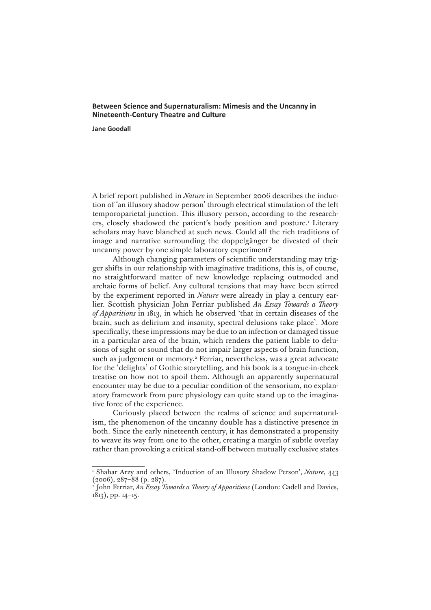## **Between Science and Supernaturalism: Mimesis and the Uncanny in Nineteenth-Century Theatre and Culture**

**Jane Goodall**

A brief report published in *Nature* in September 2006 describes the induction of 'an illusory shadow person' through electrical stimulation of the left temporoparietal junction. This illusory person, according to the researchers, closely shadowed the patient's body position and posture.<sup>1</sup> Literary scholars may have blanched at such news. Could all the rich traditions of image and narrative surrounding the doppelgänger be divested of their uncanny power by one simple laboratory experiment?

Although changing parameters of scientific understanding may trigger shifts in our relationship with imaginative traditions, this is, of course, no straightforward matter of new knowledge replacing outmoded and archaic forms of belief. Any cultural tensions that may have been stirred by the experiment reported in *Nature* were already in play a century earlier. Scottish physician John Ferriar published *An Essay Towards a Theory of Apparitions* in 1813, in which he observed 'that in certain diseases of the brain, such as delirium and insanity, spectral delusions take place'. More specifically, these impressions may be due to an infection or damaged tissue in a particular area of the brain, which renders the patient liable to delusions of sight or sound that do not impair larger aspects of brain function, such as judgement or memory.<sup>2</sup> Ferriar, nevertheless, was a great advocate for the 'delights' of Gothic storytelling, and his book is a tongue-in-cheek treatise on how not to spoil them. Although an apparently supernatural encounter may be due to a peculiar condition of the sensorium, no explanatory framework from pure physiology can quite stand up to the imaginative force of the experience.

Curiously placed between the realms of science and supernaturalism, the phenomenon of the uncanny double has a distinctive presence in both. Since the early nineteenth century, it has demonstrated a propensity to weave its way from one to the other, creating a margin of subtle overlay rather than provoking a critical stand-off between mutually exclusive states

<sup>1</sup> Shahar Arzy and others, 'Induction of an Illusory Shadow Person', *Nature*, 443 (2006), 287–88 (p. 287).

<sup>2</sup> John Ferriar, *An Essay Towards a Theory of Apparitions* (London: Cadell and Davies, 1813), pp. 14–15.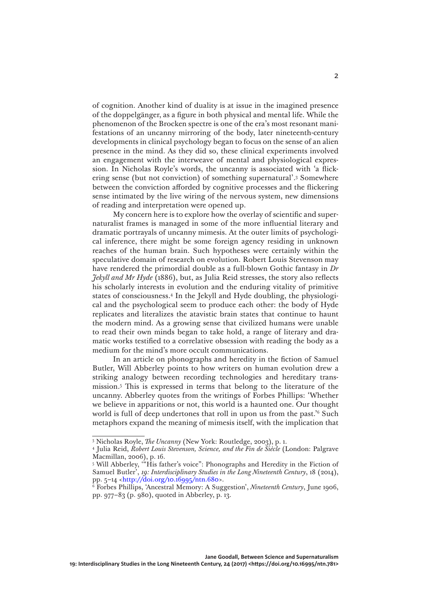of cognition. Another kind of duality is at issue in the imagined presence of the doppelgänger, as a figure in both physical and mental life. While the phenomenon of the Brocken spectre is one of the era's most resonant manifestations of an uncanny mirroring of the body, later nineteenth-century developments in clinical psychology began to focus on the sense of an alien presence in the mind. As they did so, these clinical experiments involved an engagement with the interweave of mental and physiological expression. In Nicholas Royle's words, the uncanny is associated with 'a flickering sense (but not conviction) of something supernatural'.3 Somewhere between the conviction afforded by cognitive processes and the flickering sense intimated by the live wiring of the nervous system, new dimensions of reading and interpretation were opened up.

My concern here is to explore how the overlay of scientific and supernaturalist frames is managed in some of the more influential literary and dramatic portrayals of uncanny mimesis. At the outer limits of psychological inference, there might be some foreign agency residing in unknown reaches of the human brain. Such hypotheses were certainly within the speculative domain of research on evolution. Robert Louis Stevenson may have rendered the primordial double as a full-blown Gothic fantasy in *Dr Jekyll and Mr Hyde* (1886), but, as Julia Reid stresses, the story also reflects his scholarly interests in evolution and the enduring vitality of primitive states of consciousness.4 In the Jekyll and Hyde doubling, the physiological and the psychological seem to produce each other: the body of Hyde replicates and literalizes the atavistic brain states that continue to haunt the modern mind. As a growing sense that civilized humans were unable to read their own minds began to take hold, a range of literary and dramatic works testified to a correlative obsession with reading the body as a medium for the mind's more occult communications.

In an article on phonographs and heredity in the fiction of Samuel Butler, Will Abberley points to how writers on human evolution drew a striking analogy between recording technologies and hereditary transmission.5 This is expressed in terms that belong to the literature of the uncanny. Abberley quotes from the writings of Forbes Phillips: 'Whether we believe in apparitions or not, this world is a haunted one. Our thought world is full of deep undertones that roll in upon us from the past.<sup>36</sup> Such metaphors expand the meaning of mimesis itself, with the implication that

<sup>3</sup> Nicholas Royle, *The Uncanny* (New York: Routledge, 2003), p. 1.

<sup>4</sup> Julia Reid, *Robert Louis Stevenson, Science, and the Fin de Siècle* (London: Palgrave Macmillan, 2006), p. 16.

<sup>5</sup> Will Abberley, '"His father's voice": Phonographs and Heredity in the Fiction of Samuel Butler', *19: Interdisciplinary Studies in the Long Nineteenth Century*, 18 (2014),

pp. 5–14 [<http://doi.org/10.16995/ntn.680](http://doi.org/10.16995/ntn.680)>.<br><sup>6</sup> Forbes Phillips, 'Ancestral Memory: A Suggestion', *Nineteenth Century*, June 1906, pp. 977–83 (p. 980), quoted in Abberley, p. 13.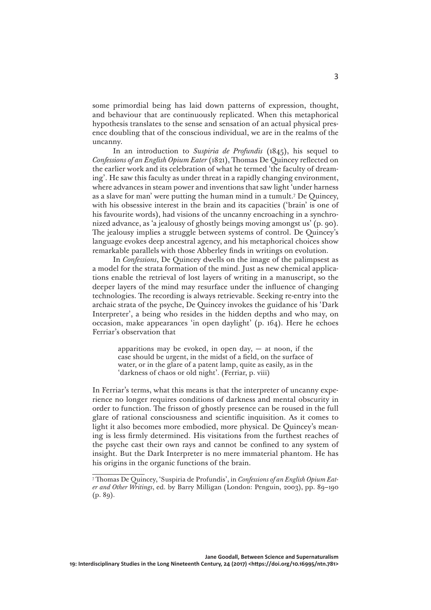some primordial being has laid down patterns of expression, thought, and behaviour that are continuously replicated. When this metaphorical hypothesis translates to the sense and sensation of an actual physical presence doubling that of the conscious individual, we are in the realms of the uncanny.

In an introduction to *Suspiria de Profundis* (1845), his sequel to *Confessions of an English Opium Eater* (1821), Thomas De Quincey reflected on the earlier work and its celebration of what he termed 'the faculty of dreaming'. He saw this faculty as under threat in a rapidly changing environment, where advances in steam power and inventions that saw light 'under harness as a slave for man' were putting the human mind in a tumult.7 De Quincey, with his obsessive interest in the brain and its capacities ('brain' is one of his favourite words), had visions of the uncanny encroaching in a synchronized advance, as 'a jealousy of ghostly beings moving amongst us' (p. 90). The jealousy implies a struggle between systems of control. De Quincey's language evokes deep ancestral agency, and his metaphorical choices show remarkable parallels with those Abberley finds in writings on evolution.

In *Confessions*, De Quincey dwells on the image of the palimpsest as a model for the strata formation of the mind. Just as new chemical applications enable the retrieval of lost layers of writing in a manuscript, so the deeper layers of the mind may resurface under the influence of changing technologies. The recording is always retrievable. Seeking re-entry into the archaic strata of the psyche, De Quincey invokes the guidance of his 'Dark Interpreter', a being who resides in the hidden depths and who may, on occasion, make appearances 'in open daylight' (p. 164). Here he echoes Ferriar's observation that

> apparitions may be evoked, in open day,  $-$  at noon, if the case should be urgent, in the midst of a field, on the surface of water, or in the glare of a patent lamp, quite as easily, as in the 'darkness of chaos or old night'. (Ferriar, p. viii)

In Ferriar's terms, what this means is that the interpreter of uncanny experience no longer requires conditions of darkness and mental obscurity in order to function. The frisson of ghostly presence can be roused in the full glare of rational consciousness and scientific inquisition. As it comes to light it also becomes more embodied, more physical. De Quincey's meaning is less firmly determined. His visitations from the furthest reaches of the psyche cast their own rays and cannot be confined to any system of insight. But the Dark Interpreter is no mere immaterial phantom. He has his origins in the organic functions of the brain.

<sup>7</sup> Thomas De Quincey, 'Suspiria de Profundis', in *Confessions of an English Opium Eater and Other Writings*, ed. by Barry Milligan (London: Penguin, 2003), pp. 89–190  $(p. 89)$ .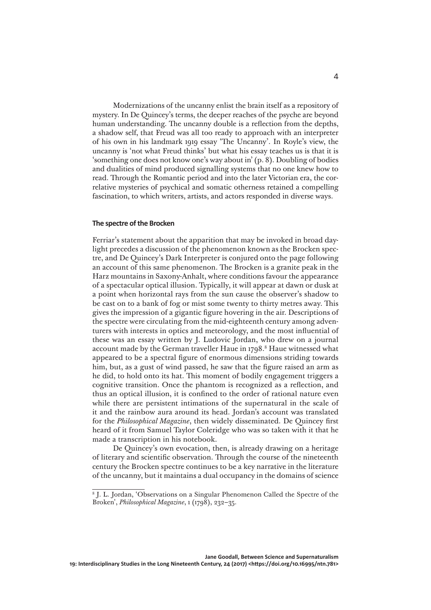Modernizations of the uncanny enlist the brain itself as a repository of mystery. In De Quincey's terms, the deeper reaches of the psyche are beyond human understanding. The uncanny double is a reflection from the depths, a shadow self, that Freud was all too ready to approach with an interpreter of his own in his landmark 1919 essay 'The Uncanny'. In Royle's view, the uncanny is 'not what Freud thinks' but what his essay teaches us is that it is 'something one does not know one's way about in' (p. 8). Doubling of bodies and dualities of mind produced signalling systems that no one knew how to read. Through the Romantic period and into the later Victorian era, the correlative mysteries of psychical and somatic otherness retained a compelling fascination, to which writers, artists, and actors responded in diverse ways.

## **The spectre of the Brocken**

Ferriar's statement about the apparition that may be invoked in broad daylight precedes a discussion of the phenomenon known as the Brocken spectre, and De Quincey's Dark Interpreter is conjured onto the page following an account of this same phenomenon. The Brocken is a granite peak in the Harz mountains in Saxony-Anhalt, where conditions favour the appearance of a spectacular optical illusion. Typically, it will appear at dawn or dusk at a point when horizontal rays from the sun cause the observer's shadow to be cast on to a bank of fog or mist some twenty to thirty metres away. This gives the impression of a gigantic figure hovering in the air. Descriptions of the spectre were circulating from the mid-eighteenth century among adventurers with interests in optics and meteorology, and the most influential of these was an essay written by J. Ludovic Jordan, who drew on a journal account made by the German traveller Haue in 1798.<sup>8</sup> Haue witnessed what appeared to be a spectral figure of enormous dimensions striding towards him, but, as a gust of wind passed, he saw that the figure raised an arm as he did, to hold onto its hat. This moment of bodily engagement triggers a cognitive transition. Once the phantom is recognized as a reflection, and thus an optical illusion, it is confined to the order of rational nature even while there are persistent intimations of the supernatural in the scale of it and the rainbow aura around its head. Jordan's account was translated for the *Philosophical Magazine*, then widely disseminated. De Quincey first heard of it from Samuel Taylor Coleridge who was so taken with it that he made a transcription in his notebook.

De Quincey's own evocation, then, is already drawing on a heritage of literary and scientific observation. Through the course of the nineteenth century the Brocken spectre continues to be a key narrative in the literature of the uncanny, but it maintains a dual occupancy in the domains of science

<sup>8</sup> J. L. Jordan, 'Observations on a Singular Phenomenon Called the Spectre of the Broken', *Philosophical Magazine*, 1 (1798), 232–35.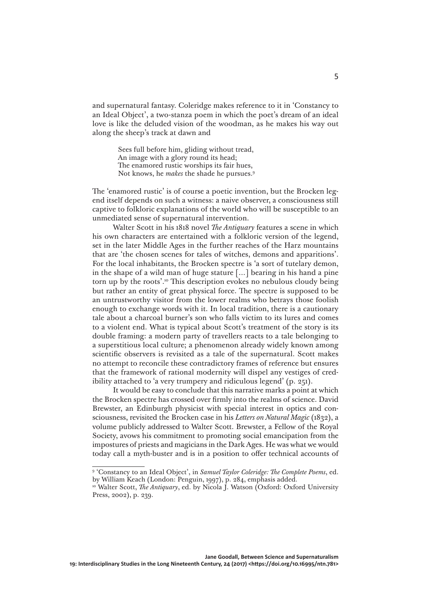and supernatural fantasy. Coleridge makes reference to it in 'Constancy to an Ideal Object', a two-stanza poem in which the poet's dream of an ideal love is like the deluded vision of the woodman, as he makes his way out along the sheep's track at dawn and

> Sees full before him, gliding without tread, An image with a glory round its head; The enamored rustic worships its fair hues, Not knows, he *makes* the shade he pursues.9

The 'enamored rustic' is of course a poetic invention, but the Brocken legend itself depends on such a witness: a naive observer, a consciousness still captive to folkloric explanations of the world who will be susceptible to an unmediated sense of supernatural intervention.

Walter Scott in his 1818 novel *The Antiquary* features a scene in which his own characters are entertained with a folkloric version of the legend, set in the later Middle Ages in the further reaches of the Harz mountains that are 'the chosen scenes for tales of witches, demons and apparitions'. For the local inhabitants, the Brocken spectre is 'a sort of tutelary demon, in the shape of a wild man of huge stature […] bearing in his hand a pine torn up by the roots'.<sup>10</sup> This description evokes no nebulous cloudy being but rather an entity of great physical force. The spectre is supposed to be an untrustworthy visitor from the lower realms who betrays those foolish enough to exchange words with it. In local tradition, there is a cautionary tale about a charcoal burner's son who falls victim to its lures and comes to a violent end. What is typical about Scott's treatment of the story is its double framing: a modern party of travellers reacts to a tale belonging to a superstitious local culture; a phenomenon already widely known among scientific observers is revisited as a tale of the supernatural. Scott makes no attempt to reconcile these contradictory frames of reference but ensures that the framework of rational modernity will dispel any vestiges of credibility attached to 'a very trumpery and ridiculous legend' (p. 251).

It would be easy to conclude that this narrative marks a point at which the Brocken spectre has crossed over firmly into the realms of science. David Brewster, an Edinburgh physicist with special interest in optics and consciousness, revisited the Brocken case in his *Letters on Natural Magic* (1832), a volume publicly addressed to Walter Scott. Brewster, a Fellow of the Royal Society, avows his commitment to promoting social emancipation from the impostures of priests and magicians in the Dark Ages. He was what we would today call a myth-buster and is in a position to offer technical accounts of

<sup>&</sup>lt;sup>9</sup> 'Constancy to an Ideal Object', in *Samuel Taylor Coleridge: The Complete Poems*, ed. by William Keach (London: Penguin, 1997), p. 284, emphasis added.

<sup>&</sup>lt;sup>10</sup> Walter Scott, *The Antiquary*, ed. by Nicola J. Watson (Oxford: Oxford University Press, 2002), p. 239.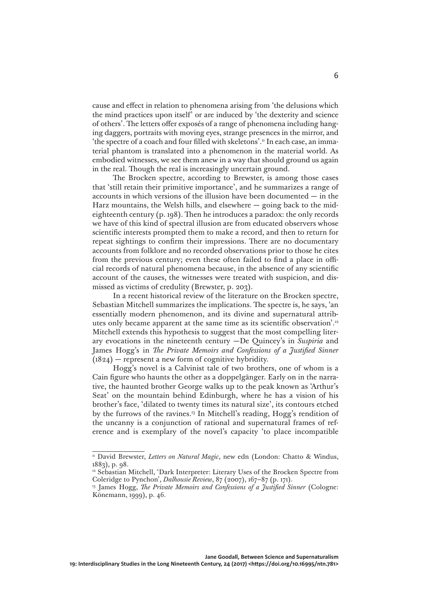cause and effect in relation to phenomena arising from 'the delusions which the mind practices upon itself' or are induced by 'the dexterity and science of others'. The letters offer exposés of a range of phenomena including hanging daggers, portraits with moving eyes, strange presences in the mirror, and 'the spectre of a coach and four filled with skeletons'.<sup>11</sup> In each case, an immaterial phantom is translated into a phenomenon in the material world. As embodied witnesses, we see them anew in a way that should ground us again in the real. Though the real is increasingly uncertain ground.

The Brocken spectre, according to Brewster, is among those cases that 'still retain their primitive importance', and he summarizes a range of accounts in which versions of the illusion have been documented — in the Harz mountains, the Welsh hills, and elsewhere  $-$  going back to the mideighteenth century (p. 198). Then he introduces a paradox: the only records we have of this kind of spectral illusion are from educated observers whose scientific interests prompted them to make a record, and then to return for repeat sightings to confirm their impressions. There are no documentary accounts from folklore and no recorded observations prior to those he cites from the previous century; even these often failed to find a place in official records of natural phenomena because, in the absence of any scientific account of the causes, the witnesses were treated with suspicion, and dismissed as victims of credulity (Brewster, p. 203).

In a recent historical review of the literature on the Brocken spectre, Sebastian Mitchell summarizes the implications. The spectre is, he says, 'an essentially modern phenomenon, and its divine and supernatural attributes only became apparent at the same time as its scientific observation'.12 Mitchell extends this hypothesis to suggest that the most compelling literary evocations in the nineteenth century —De Quincey's in *Suspiria* and James Hogg's in *The Private Memoirs and Confessions of a Justified Sinner*  $(1824)$  — represent a new form of cognitive hybridity.

Hogg's novel is a Calvinist tale of two brothers, one of whom is a Cain figure who haunts the other as a doppelgänger. Early on in the narrative, the haunted brother George walks up to the peak known as 'Arthur's Seat' on the mountain behind Edinburgh, where he has a vision of his brother's face, 'dilated to twenty times its natural size', its contours etched by the furrows of the ravines.13 In Mitchell's reading, Hogg's rendition of the uncanny is a conjunction of rational and supernatural frames of reference and is exemplary of the novel's capacity 'to place incompatible

<sup>&</sup>lt;sup>11</sup> David Brewster, *Letters on Natural Magic*, new edn (London: Chatto & Windus, 1883), p. 98.

<sup>&</sup>lt;sup>12</sup> Sebastian Mitchell, 'Dark Interpreter: Literary Uses of the Brocken Spectre from Coleridge to Pynchon', *Dalhousie Review*, 87 (2007), 167–87 (p. 171).

<sup>&</sup>lt;sup>13</sup> James Hogg, *The Private Memoirs and Confessions of a Justified Sinner* (Cologne: Könemann, 1999), p. 46.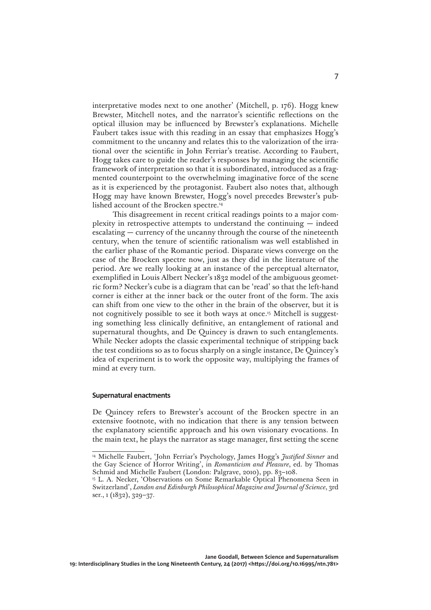interpretative modes next to one another' (Mitchell, p. 176). Hogg knew Brewster, Mitchell notes, and the narrator's scientific reflections on the optical illusion may be influenced by Brewster's explanations. Michelle Faubert takes issue with this reading in an essay that emphasizes Hogg's commitment to the uncanny and relates this to the valorization of the irrational over the scientific in John Ferriar's treatise. According to Faubert, Hogg takes care to guide the reader's responses by managing the scientific framework of interpretation so that it is subordinated, introduced as a fragmented counterpoint to the overwhelming imaginative force of the scene as it is experienced by the protagonist. Faubert also notes that, although Hogg may have known Brewster, Hogg's novel precedes Brewster's published account of the Brocken spectre.14

This disagreement in recent critical readings points to a major complexity in retrospective attempts to understand the continuing — indeed escalating — currency of the uncanny through the course of the nineteenth century, when the tenure of scientific rationalism was well established in the earlier phase of the Romantic period. Disparate views converge on the case of the Brocken spectre now, just as they did in the literature of the period. Are we really looking at an instance of the perceptual alternator, exemplified in Louis Albert Necker's 1832 model of the ambiguous geometric form? Necker's cube is a diagram that can be 'read' so that the left-hand corner is either at the inner back or the outer front of the form. The axis can shift from one view to the other in the brain of the observer, but it is not cognitively possible to see it both ways at once.<sup>15</sup> Mitchell is suggesting something less clinically definitive, an entanglement of rational and supernatural thoughts, and De Quincey is drawn to such entanglements. While Necker adopts the classic experimental technique of stripping back the test conditions so as to focus sharply on a single instance, De Quincey's idea of experiment is to work the opposite way, multiplying the frames of mind at every turn.

## **Supernatural enactments**

De Quincey refers to Brewster's account of the Brocken spectre in an extensive footnote, with no indication that there is any tension between the explanatory scientific approach and his own visionary evocations. In the main text, he plays the narrator as stage manager, first setting the scene

<sup>&</sup>lt;sup>14</sup> Michelle Faubert, 'John Ferriar's Psychology, James Hogg's *Justified Sinner* and the Gay Science of Horror Writing', in *Romanticism and Pleasure*, ed. by Thomas Schmid and Michelle Faubert (London: Palgrave, 2010), pp. 83–108.

<sup>15</sup> L. A. Necker, 'Observations on Some Remarkable Optical Phenomena Seen in Switzerland', *London and Edinburgh Philosophical Magazine and Journal of Science*, 3rd ser., 1 (1832), 329–37.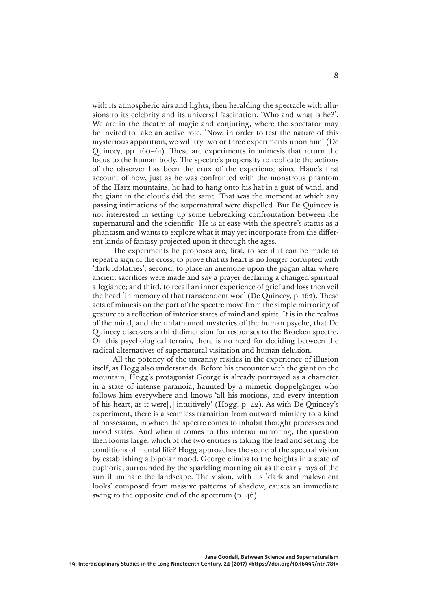with its atmospheric airs and lights, then heralding the spectacle with allusions to its celebrity and its universal fascination. 'Who and what is he?'. We are in the theatre of magic and conjuring, where the spectator may be invited to take an active role. 'Now, in order to test the nature of this mysterious apparition, we will try two or three experiments upon him' (De Quincey, pp. 160–61). These are experiments in mimesis that return the focus to the human body. The spectre's propensity to replicate the actions of the observer has been the crux of the experience since Haue's first account of how, just as he was confronted with the monstrous phantom of the Harz mountains, he had to hang onto his hat in a gust of wind, and the giant in the clouds did the same. That was the moment at which any passing intimations of the supernatural were dispelled. But De Quincey is not interested in setting up some tiebreaking confrontation between the supernatural and the scientific. He is at ease with the spectre's status as a phantasm and wants to explore what it may yet incorporate from the different kinds of fantasy projected upon it through the ages.

The experiments he proposes are, first, to see if it can be made to repeat a sign of the cross, to prove that its heart is no longer corrupted with 'dark idolatries'; second, to place an anemone upon the pagan altar where ancient sacrifices were made and say a prayer declaring a changed spiritual allegiance; and third, to recall an inner experience of grief and loss then veil the head 'in memory of that transcendent woe' (De Quincey, p. 162). These acts of mimesis on the part of the spectre move from the simple mirroring of gesture to a reflection of interior states of mind and spirit. It is in the realms of the mind, and the unfathomed mysteries of the human psyche, that De Quincey discovers a third dimension for responses to the Brocken spectre. On this psychological terrain, there is no need for deciding between the radical alternatives of supernatural visitation and human delusion.

All the potency of the uncanny resides in the experience of illusion itself, as Hogg also understands. Before his encounter with the giant on the mountain, Hogg's protagonist George is already portrayed as a character in a state of intense paranoia, haunted by a mimetic doppelgänger who follows him everywhere and knows 'all his motions, and every intention of his heart, as it were[,] intuitively' (Hogg, p. 42). As with De Quincey's experiment, there is a seamless transition from outward mimicry to a kind of possession, in which the spectre comes to inhabit thought processes and mood states. And when it comes to this interior mirroring, the question then looms large: which of the two entities is taking the lead and setting the conditions of mental life? Hogg approaches the scene of the spectral vision by establishing a bipolar mood. George climbs to the heights in a state of euphoria, surrounded by the sparkling morning air as the early rays of the sun illuminate the landscape. The vision, with its 'dark and malevolent looks' composed from massive patterns of shadow, causes an immediate swing to the opposite end of the spectrum (p. 46).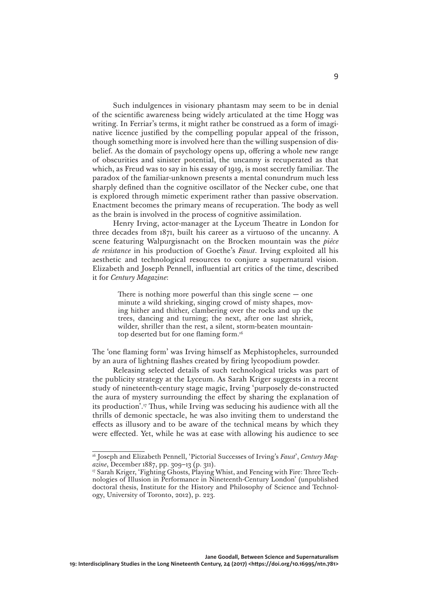Such indulgences in visionary phantasm may seem to be in denial of the scientific awareness being widely articulated at the time Hogg was writing. In Ferriar's terms, it might rather be construed as a form of imaginative licence justified by the compelling popular appeal of the frisson, though something more is involved here than the willing suspension of disbelief. As the domain of psychology opens up, offering a whole new range of obscurities and sinister potential, the uncanny is recuperated as that which, as Freud was to say in his essay of 1919, is most secretly familiar. The paradox of the familiar-unknown presents a mental conundrum much less sharply defined than the cognitive oscillator of the Necker cube, one that is explored through mimetic experiment rather than passive observation. Enactment becomes the primary means of recuperation. The body as well as the brain is involved in the process of cognitive assimilation.

Henry Irving, actor-manager at the Lyceum Theatre in London for three decades from 1871, built his career as a virtuoso of the uncanny. A scene featuring Walpurgisnacht on the Brocken mountain was the *pièce de resistance* in his production of Goethe's *Faust*. Irving exploited all his aesthetic and technological resources to conjure a supernatural vision. Elizabeth and Joseph Pennell, influential art critics of the time, described it for *Century Magazine*:

> There is nothing more powerful than this single scene  $-$  one minute a wild shrieking, singing crowd of misty shapes, moving hither and thither, clambering over the rocks and up the trees, dancing and turning; the next, after one last shriek, wilder, shriller than the rest, a silent, storm-beaten mountaintop deserted but for one flaming form.16

The 'one flaming form' was Irving himself as Mephistopheles, surrounded by an aura of lightning flashes created by firing lycopodium powder.

Releasing selected details of such technological tricks was part of the publicity strategy at the Lyceum. As Sarah Kriger suggests in a recent study of nineteenth-century stage magic, Irving 'purposely de-constructed the aura of mystery surrounding the effect by sharing the explanation of its production'.17 Thus, while Irving was seducing his audience with all the thrills of demonic spectacle, he was also inviting them to understand the effects as illusory and to be aware of the technical means by which they were effected. Yet, while he was at ease with allowing his audience to see

<sup>&</sup>lt;sup>16</sup> Joseph and Elizabeth Pennell, 'Pictorial Successes of Irving's *Faust'*, *Century Magazine*, December 1887, pp. 309–13 (p. 311).

<sup>&</sup>lt;sup>17</sup> Sarah Kriger, 'Fighting Ghosts, Playing Whist, and Fencing with Fire: Three Technologies of Illusion in Performance in Nineteenth-Century London' (unpublished doctoral thesis, Institute for the History and Philosophy of Science and Technology, University of Toronto, 2012), p. 223.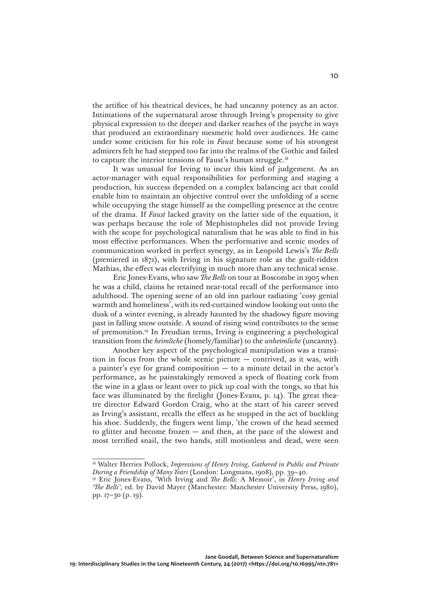the artifice of his theatrical devices, he had uncanny potency as an actor. Intimations of the supernatural arose through Irving's propensity to give physical expression to the deeper and darker reaches of the psyche in ways that produced an extraordinary mesmeric hold over audiences. He came under some criticism for his role in *Faust* because some of his strongest admirers felt he had stepped too far into the realms of the Gothic and failed to capture the interior tensions of Faust's human struggle.18

It was unusual for Irving to incur this kind of judgement. As an actor-manager with equal responsibilities for performing and staging a production, his success depended on a complex balancing act that could enable him to maintain an objective control over the unfolding of a scene while occupying the stage himself as the compelling presence at the centre of the drama. If *Faust* lacked gravity on the latter side of the equation, it was perhaps because the role of Mephistopheles did not provide Irving with the scope for psychological naturalism that he was able to find in his most effective performances. When the performative and scenic modes of communication worked in perfect synergy, as in Leopold Lewis's *The Bells* (premiered in 1871), with Irving in his signature role as the guilt-ridden Mathias, the effect was electrifying in much more than any technical sense.

Eric Jones-Evans, who saw *The Bells* on tour at Boscombe in 1905 when he was a child, claims he retained near-total recall of the performance into adulthood. The opening scene of an old inn parlour radiating 'cosy genial warmth and homeliness', with its red-curtained window looking out onto the dusk of a winter evening, is already haunted by the shadowy figure moving past in falling snow outside. A sound of rising wind contributes to the sense of premonition.19 In Freudian terms, Irving is engineering a psychological transition from the *heimliche* (homely/familiar) to the *unheimliche* (uncanny).

Another key aspect of the psychological manipulation was a transition in focus from the whole scenic picture  $-$  contrived, as it was, with a painter's eye for grand composition  $-$  to a minute detail in the actor's performance, as he painstakingly removed a speck of floating cork from the wine in a glass or leant over to pick up coal with the tongs, so that his face was illuminated by the firelight (Jones-Evans, p. 14). The great theatre director Edward Gordon Craig, who at the start of his career served as Irving's assistant, recalls the effect as he stopped in the act of buckling his shoe. Suddenly, the fingers went limp, 'the crown of the head seemed to glitter and become frozen — and then, at the pace of the slowest and most terrified snail, the two hands, still motionless and dead, were seen

<sup>&</sup>lt;sup>18</sup> Walter Herries Pollock, *Impressions of Henry Irving*, *Gathered in Public and Private During a Friendship of Many Years* (London: Longmans, 1908), pp. 39–40.

<sup>19</sup> Eric Jones-Evans, 'With Irving and *The Bells*: A Memoir', in *Henry Irving and 'The Bells'*, ed. by David Mayer (Manchester: Manchester University Press, 1980), pp. 17–30 (p. 19).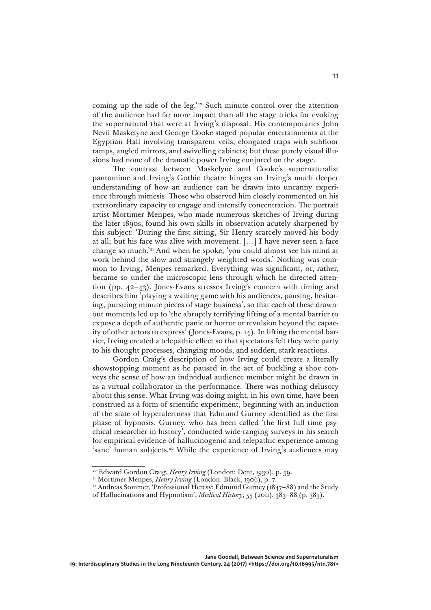coming up the side of the leg.'20 Such minute control over the attention of the audience had far more impact than all the stage tricks for evoking the supernatural that were at Irving's disposal. His contemporaries John Nevil Maskelyne and George Cooke staged popular entertainments at the Egyptian Hall involving transparent veils, elongated traps with subfloor ramps, angled mirrors, and swivelling cabinets; but these purely visual illusions had none of the dramatic power Irving conjured on the stage.

The contrast between Maskelyne and Cooke's supernaturalist pantomime and Irving's Gothic theatre hinges on Irving's much deeper understanding of how an audience can be drawn into uncanny experience through mimesis. Those who observed him closely commented on his extraordinary capacity to engage and intensify concentration. The portrait artist Mortimer Menpes, who made numerous sketches of Irving during the later 1890s, found his own skills in observation acutely sharpened by this subject: 'During the first sitting, Sir Henry scarcely moved his body at all; but his face was alive with movement. […] I have never seen a face change so much.'21 And when he spoke, 'you could almost see his mind at work behind the slow and strangely weighted words.' Nothing was common to Irving, Menpes remarked. Everything was significant, or, rather, became so under the microscopic lens through which he directed attention (pp. 42–43). Jones-Evans stresses Irving's concern with timing and describes him 'playing a waiting game with his audiences, pausing, hesitating, pursuing minute pieces of stage business', so that each of these drawnout moments led up to 'the abruptly terrifying lifting of a mental barrier to expose a depth of authentic panic or horror or revulsion beyond the capacity of other actors to express' (Jones-Evans, p. 14). In lifting the mental barrier, Irving created a telepathic effect so that spectators felt they were party to his thought processes, changing moods, and sudden, stark reactions.

Gordon Craig's description of how Irving could create a literally showstopping moment as he paused in the act of buckling a shoe conveys the sense of how an individual audience member might be drawn in as a virtual collaborator in the performance. There was nothing delusory about this sense. What Irving was doing might, in his own time, have been construed as a form of scientific experiment, beginning with an induction of the state of hyperalertness that Edmund Gurney identified as the first phase of hypnosis. Gurney, who has been called 'the first full time psychical researcher in history', conducted wide-ranging surveys in his search for empirical evidence of hallucinogenic and telepathic experience among 'sane' human subjects.<sup>22</sup> While the experience of Irving's audiences may

<sup>20</sup> Edward Gordon Craig, *Henry Irving* (London: Dent, 1930), p. 59.

<sup>21</sup> Mortimer Menpes, *Henry Irving* (London: Black, 1906), p. 7.

<sup>&</sup>lt;sup>22</sup> Andreas Sommer, 'Professional Heresy: Edmund Gurney (1847-88) and the Study

of Hallucinations and Hypnotism', *Medical History*, 55 (2011), 383–88 (p. 383).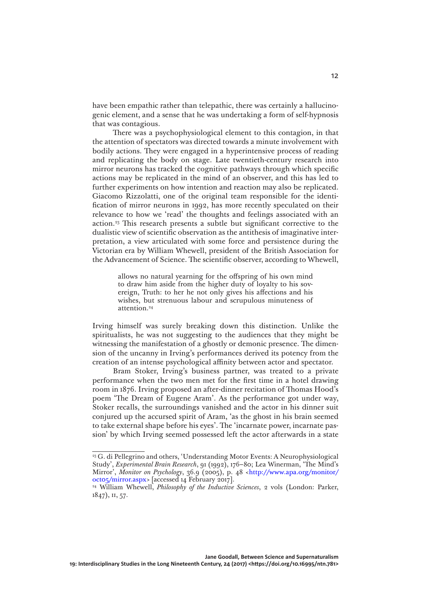have been empathic rather than telepathic, there was certainly a hallucinogenic element, and a sense that he was undertaking a form of self-hypnosis that was contagious.

There was a psychophysiological element to this contagion, in that the attention of spectators was directed towards a minute involvement with bodily actions. They were engaged in a hyperintensive process of reading and replicating the body on stage. Late twentieth-century research into mirror neurons has tracked the cognitive pathways through which specific actions may be replicated in the mind of an observer, and this has led to further experiments on how intention and reaction may also be replicated. Giacomo Rizzolatti, one of the original team responsible for the identification of mirror neurons in 1992, has more recently speculated on their relevance to how we 'read' the thoughts and feelings associated with an action.23 This research presents a subtle but significant corrective to the dualistic view of scientific observation as the antithesis of imaginative interpretation, a view articulated with some force and persistence during the Victorian era by William Whewell, president of the British Association for the Advancement of Science. The scientific observer, according to Whewell,

> allows no natural yearning for the offspring of his own mind to draw him aside from the higher duty of loyalty to his sovereign, Truth: to her he not only gives his affections and his wishes, but strenuous labour and scrupulous minuteness of attention.<sup>24</sup>

Irving himself was surely breaking down this distinction. Unlike the spiritualists, he was not suggesting to the audiences that they might be witnessing the manifestation of a ghostly or demonic presence. The dimension of the uncanny in Irving's performances derived its potency from the creation of an intense psychological affinity between actor and spectator.

Bram Stoker, Irving's business partner, was treated to a private performance when the two men met for the first time in a hotel drawing room in 1876. Irving proposed an after-dinner recitation of Thomas Hood's poem 'The Dream of Eugene Aram'. As the performance got under way, Stoker recalls, the surroundings vanished and the actor in his dinner suit conjured up the accursed spirit of Aram, 'as the ghost in his brain seemed to take external shape before his eyes'. The 'incarnate power, incarnate passion' by which Irving seemed possessed left the actor afterwards in a state

<sup>&</sup>lt;sup>23</sup> G. di Pellegrino and others, 'Understanding Motor Events: A Neurophysiological Study', *Experimental Brain Research*, 91 (1992), 176–80; Lea Winerman, 'The Mind's Mirror', *Monitor on Psychology*, 36.9 (2005), p. 48 <[http://www.apa.org/monitor/](http://www.apa.org/monitor/oct05/mirror.aspx) [oct05/mirror.aspx](http://www.apa.org/monitor/oct05/mirror.aspx)> [accessed 14 February 2017].

<sup>24</sup> William Whewell, *Philosophy of the Inductive Sciences*, 2 vols (London: Parker, 1847), ii, 57.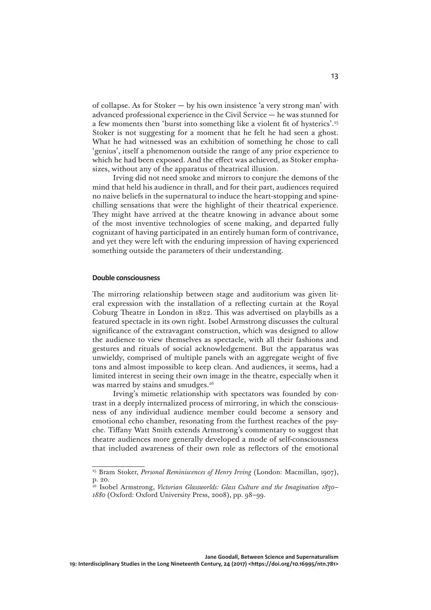of collapse. As for Stoker — by his own insistence 'a very strong man' with advanced professional experience in the Civil Service — he was stunned for a few moments then 'burst into something like a violent fit of hysterics'.25 Stoker is not suggesting for a moment that he felt he had seen a ghost. What he had witnessed was an exhibition of something he chose to call 'genius', itself a phenomenon outside the range of any prior experience to which he had been exposed. And the effect was achieved, as Stoker emphasizes, without any of the apparatus of theatrical illusion.

Irving did not need smoke and mirrors to conjure the demons of the mind that held his audience in thrall, and for their part, audiences required no naive beliefs in the supernatural to induce the heart-stopping and spinechilling sensations that were the highlight of their theatrical experience. They might have arrived at the theatre knowing in advance about some of the most inventive technologies of scene making, and departed fully cognizant of having participated in an entirely human form of contrivance, and yet they were left with the enduring impression of having experienced something outside the parameters of their understanding.

## **Double consciousness**

The mirroring relationship between stage and auditorium was given literal expression with the installation of a reflecting curtain at the Royal Coburg Theatre in London in 1822. This was advertised on playbills as a featured spectacle in its own right. Isobel Armstrong discusses the cultural significance of the extravagant construction, which was designed to allow the audience to view themselves as spectacle, with all their fashions and gestures and rituals of social acknowledgement. But the apparatus was unwieldy, comprised of multiple panels with an aggregate weight of five tons and almost impossible to keep clean. And audiences, it seems, had a limited interest in seeing their own image in the theatre, especially when it was marred by stains and smudges.<sup>26</sup>

Irving's mimetic relationship with spectators was founded by contrast in a deeply internalized process of mirroring, in which the consciousness of any individual audience member could become a sensory and emotional echo chamber, resonating from the furthest reaches of the psyche. Tiffany Watt Smith extends Armstrong's commentary to suggest that theatre audiences more generally developed a mode of self-consciousness that included awareness of their own role as reflectors of the emotional

<sup>25</sup> Bram Stoker, *Personal Reminiscences of Henry Irving* (London: Macmillan, 1907), p. 20.

<sup>26</sup> Isobel Armstrong, *Victorian Glassworlds: Glass Culture and the Imagination 1830– 1880* (Oxford: Oxford University Press, 2008), pp. 98–99.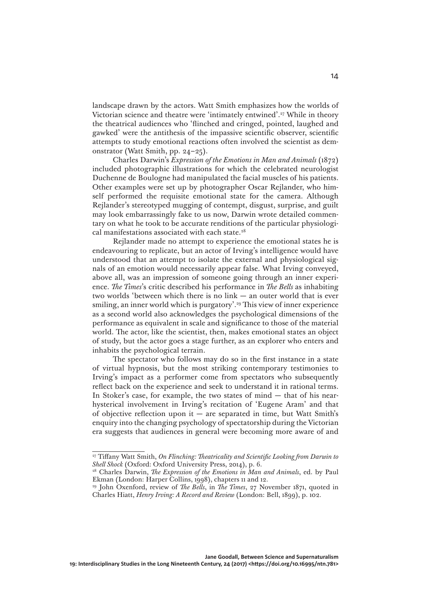landscape drawn by the actors. Watt Smith emphasizes how the worlds of Victorian science and theatre were 'intimately entwined'.27 While in theory the theatrical audiences who 'flinched and cringed, pointed, laughed and gawked' were the antithesis of the impassive scientific observer, scientific attempts to study emotional reactions often involved the scientist as demonstrator (Watt Smith, pp. 24–25).

Charles Darwin's *Expression of the Emotions in Man and Animals* (1872) included photographic illustrations for which the celebrated neurologist Duchenne de Boulogne had manipulated the facial muscles of his patients. Other examples were set up by photographer Oscar Rejlander, who himself performed the requisite emotional state for the camera. Although Rejlander's stereotyped mugging of contempt, disgust, surprise, and guilt may look embarrassingly fake to us now, Darwin wrote detailed commentary on what he took to be accurate renditions of the particular physiological manifestations associated with each state.<sup>28</sup>

Rejlander made no attempt to experience the emotional states he is endeavouring to replicate, but an actor of Irving's intelligence would have understood that an attempt to isolate the external and physiological signals of an emotion would necessarily appear false. What Irving conveyed, above all, was an impression of someone going through an inner experience. *The Times*'s critic described his performance in *The Bells* as inhabiting two worlds 'between which there is no link — an outer world that is ever smiling, an inner world which is purgatory'.<sup>29</sup> This view of inner experience as a second world also acknowledges the psychological dimensions of the performance as equivalent in scale and significance to those of the material world. The actor, like the scientist, then, makes emotional states an object of study, but the actor goes a stage further, as an explorer who enters and inhabits the psychological terrain.

The spectator who follows may do so in the first instance in a state of virtual hypnosis, but the most striking contemporary testimonies to Irving's impact as a performer come from spectators who subsequently reflect back on the experience and seek to understand it in rational terms. In Stoker's case, for example, the two states of mind — that of his nearhysterical involvement in Irving's recitation of 'Eugene Aram' and that of objective reflection upon it  $-$  are separated in time, but Watt Smith's enquiry into the changing psychology of spectatorship during the Victorian era suggests that audiences in general were becoming more aware of and

<sup>27</sup> Tiffany Watt Smith, *On Flinching: Theatricality and Scientific Looking from Darwin to Shell Shock* (Oxford: Oxford University Press, 2014), p. 6.

<sup>&</sup>lt;sup>28</sup> Charles Darwin, *The Expression of the Emotions in Man and Animals*, ed. by Paul Ekman (London: Harper Collins, 1998), chapters 11 and 12.

<sup>&</sup>lt;sup>29</sup> John Oxenford, review of *The Bells*, in *The Times*, 27 November 1871, quoted in Charles Hiatt, *Henry Irving: A Record and Review* (London: Bell, 1899), p. 102.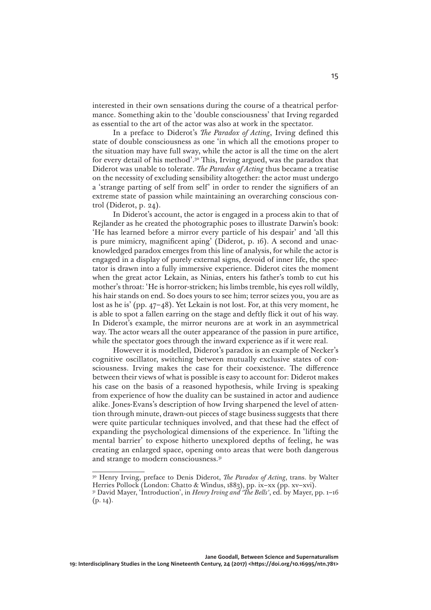interested in their own sensations during the course of a theatrical performance. Something akin to the 'double consciousness' that Irving regarded as essential to the art of the actor was also at work in the spectator.

In a preface to Diderot's *The Paradox of Acting*, Irving defined this state of double consciousness as one 'in which all the emotions proper to the situation may have full sway, while the actor is all the time on the alert for every detail of his method'.30 This, Irving argued, was the paradox that Diderot was unable to tolerate. *The Paradox of Acting* thus became a treatise on the necessity of excluding sensibility altogether: the actor must undergo a 'strange parting of self from self' in order to render the signifiers of an extreme state of passion while maintaining an overarching conscious control (Diderot, p. 24).

In Diderot's account, the actor is engaged in a process akin to that of Rejlander as he created the photographic poses to illustrate Darwin's book: 'He has learned before a mirror every particle of his despair' and 'all this is pure mimicry, magnificent aping' (Diderot, p. 16). A second and unacknowledged paradox emerges from this line of analysis, for while the actor is engaged in a display of purely external signs, devoid of inner life, the spectator is drawn into a fully immersive experience. Diderot cites the moment when the great actor Lekain, as Ninias, enters his father's tomb to cut his mother's throat: 'He is horror-stricken; his limbs tremble, his eyes roll wildly, his hair stands on end. So does yours to see him; terror seizes you, you are as lost as he is' (pp. 47–48). Yet Lekain is not lost. For, at this very moment, he is able to spot a fallen earring on the stage and deftly flick it out of his way. In Diderot's example, the mirror neurons are at work in an asymmetrical way. The actor wears all the outer appearance of the passion in pure artifice, while the spectator goes through the inward experience as if it were real.

However it is modelled, Diderot's paradox is an example of Necker's cognitive oscillator, switching between mutually exclusive states of consciousness. Irving makes the case for their coexistence. The difference between their views of what is possible is easy to account for: Diderot makes his case on the basis of a reasoned hypothesis, while Irving is speaking from experience of how the duality can be sustained in actor and audience alike. Jones-Evans's description of how Irving sharpened the level of attention through minute, drawn-out pieces of stage business suggests that there were quite particular techniques involved, and that these had the effect of expanding the psychological dimensions of the experience. In 'lifting the mental barrier' to expose hitherto unexplored depths of feeling, he was creating an enlarged space, opening onto areas that were both dangerous and strange to modern consciousness.31

<sup>30</sup> Henry Irving, preface to Denis Diderot, *The Paradox of Acting*, trans. by Walter Herries Pollock (London: Chatto & Windus, 1883), pp. ix–xx (pp. xv–xvi).

<sup>31</sup> David Mayer, 'Introduction', in *Henry Irving and 'The Bells'*, ed. by Mayer, pp. 1–16  $(p. 14)$ .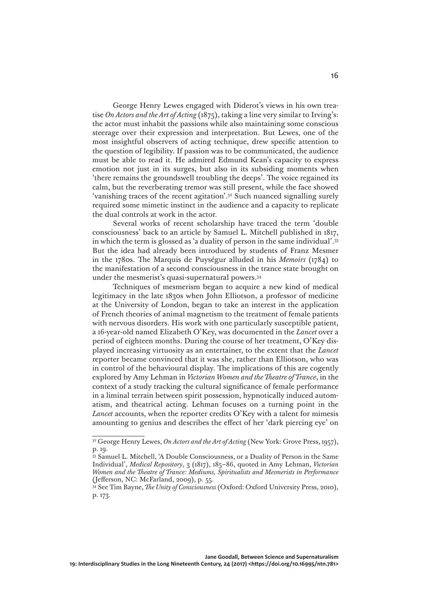George Henry Lewes engaged with Diderot's views in his own treatise *On Actors and the Art of Acting* (1875), taking a line very similar to Irving's: the actor must inhabit the passions while also maintaining some conscious steerage over their expression and interpretation. But Lewes, one of the most insightful observers of acting technique, drew specific attention to the question of legibility. If passion was to be communicated, the audience must be able to read it. He admired Edmund Kean's capacity to express emotion not just in its surges, but also in its subsiding moments when 'there remains the groundswell troubling the deeps'. The voice regained its calm, but the reverberating tremor was still present, while the face showed 'vanishing traces of the recent agitation'.32 Such nuanced signalling surely required some mimetic instinct in the audience and a capacity to replicate the dual controls at work in the actor.

Several works of recent scholarship have traced the term 'double consciousness' back to an article by Samuel L. Mitchell published in 1817, in which the term is glossed as 'a duality of person in the same individual'.33 But the idea had already been introduced by students of Franz Mesmer in the 1780s. The Marquis de Puységur alluded in his *Memoirs* (1784) to the manifestation of a second consciousness in the trance state brought on under the mesmerist's quasi-supernatural powers.34

Techniques of mesmerism began to acquire a new kind of medical legitimacy in the late 1830s when John Elliotson, a professor of medicine at the University of London, began to take an interest in the application of French theories of animal magnetism to the treatment of female patients with nervous disorders. His work with one particularly susceptible patient, a 16-year-old named Elizabeth O'Key, was documented in the *Lancet* over a period of eighteen months. During the course of her treatment, O'Key displayed increasing virtuosity as an entertainer, to the extent that the *Lancet* reporter became convinced that it was she, rather than Elliotson, who was in control of the behavioural display. The implications of this are cogently explored by Amy Lehman in *Victorian Women and the Theatre of Trance*, in the context of a study tracking the cultural significance of female performance in a liminal terrain between spirit possession, hypnotically induced automatism, and theatrical acting. Lehman focuses on a turning point in the *Lancet* accounts, when the reporter credits O'Key with a talent for mimesis amounting to genius and describes the effect of her 'dark piercing eye' on

<sup>&</sup>lt;sup>32</sup> George Henry Lewes, *On Actors and the Art of Acting* (New York: Grove Press, 1957), p. 19.

<sup>&</sup>lt;sup>33</sup> Samuel L. Mitchell, 'A Double Consciousness, or a Duality of Person in the Same Individual', *Medical Repository*, 3 (1817), 185–86, quoted in Amy Lehman, *Victorian Women and the Theatre of Trance: Mediums, Spiritualists and Mesmerists in Performance* (Jefferson, NC: McFarland, 2009), p. 55.

<sup>34</sup> See Tim Bayne, *The Unity of Consciousness* (Oxford: Oxford University Press, 2010), p. 173.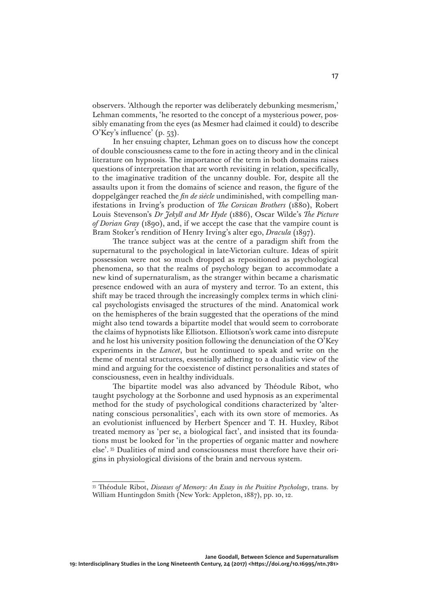observers. 'Although the reporter was deliberately debunking mesmerism,' Lehman comments, 'he resorted to the concept of a mysterious power, possibly emanating from the eyes (as Mesmer had claimed it could) to describe O'Key's influence' (p. 53).

In her ensuing chapter, Lehman goes on to discuss how the concept of double consciousness came to the fore in acting theory and in the clinical literature on hypnosis. The importance of the term in both domains raises questions of interpretation that are worth revisiting in relation, specifically, to the imaginative tradition of the uncanny double. For, despite all the assaults upon it from the domains of science and reason, the figure of the doppelgänger reached the *fin de siècle* undiminished, with compelling manifestations in Irving's production of *The Corsican Brothers* (1880), Robert Louis Stevenson's *Dr Jekyll and Mr Hyde* (1886), Oscar Wilde's *The Picture of Dorian Gray* (1890), and, if we accept the case that the vampire count is Bram Stoker's rendition of Henry Irving's alter ego, *Dracula* (1897).

The trance subject was at the centre of a paradigm shift from the supernatural to the psychological in late-Victorian culture. Ideas of spirit possession were not so much dropped as repositioned as psychological phenomena, so that the realms of psychology began to accommodate a new kind of supernaturalism, as the stranger within became a charismatic presence endowed with an aura of mystery and terror. To an extent, this shift may be traced through the increasingly complex terms in which clinical psychologists envisaged the structures of the mind. Anatomical work on the hemispheres of the brain suggested that the operations of the mind might also tend towards a bipartite model that would seem to corroborate the claims of hypnotists like Elliotson. Elliotson's work came into disrepute and he lost his university position following the denunciation of the O'Key experiments in the *Lancet*, but he continued to speak and write on the theme of mental structures, essentially adhering to a dualistic view of the mind and arguing for the coexistence of distinct personalities and states of consciousness, even in healthy individuals.

The bipartite model was also advanced by Théodule Ribot, who taught psychology at the Sorbonne and used hypnosis as an experimental method for the study of psychological conditions characterized by 'alternating conscious personalities', each with its own store of memories. As an evolutionist influenced by Herbert Spencer and T. H. Huxley, Ribot treated memory as 'per se, a biological fact', and insisted that its foundations must be looked for 'in the properties of organic matter and nowhere else'. 35 Dualities of mind and consciousness must therefore have their origins in physiological divisions of the brain and nervous system.

<sup>35</sup> Théodule Ribot, *Diseases of Memory: An Essay in the Positive Psychology*, trans. by William Huntingdon Smith (New York: Appleton, 1887), pp. 10, 12.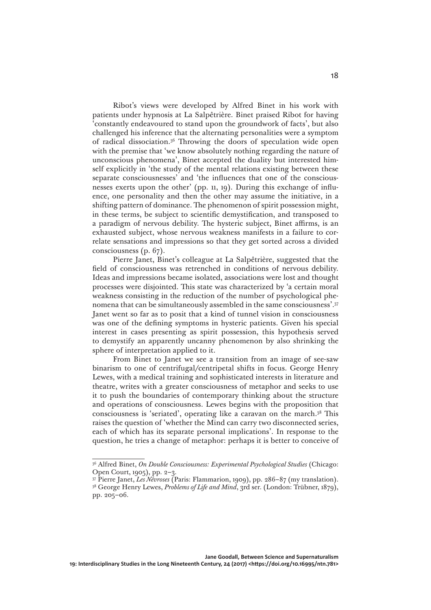Ribot's views were developed by Alfred Binet in his work with patients under hypnosis at La Salpêtrière. Binet praised Ribot for having 'constantly endeavoured to stand upon the groundwork of facts', but also challenged his inference that the alternating personalities were a symptom of radical dissociation.36 Throwing the doors of speculation wide open with the premise that 'we know absolutely nothing regarding the nature of unconscious phenomena', Binet accepted the duality but interested himself explicitly in 'the study of the mental relations existing between these separate consciousnesses' and 'the influences that one of the consciousnesses exerts upon the other' (pp. 11, 19). During this exchange of influence, one personality and then the other may assume the initiative, in a shifting pattern of dominance. The phenomenon of spirit possession might, in these terms, be subject to scientific demystification, and transposed to a paradigm of nervous debility. The hysteric subject, Binet affirms, is an exhausted subject, whose nervous weakness manifests in a failure to correlate sensations and impressions so that they get sorted across a divided consciousness (p. 67).

Pierre Janet, Binet's colleague at La Salpêtrière, suggested that the field of consciousness was retrenched in conditions of nervous debility. Ideas and impressions became isolated, associations were lost and thought processes were disjointed. This state was characterized by 'a certain moral weakness consisting in the reduction of the number of psychological phenomena that can be simultaneously assembled in the same consciousness'.37 Janet went so far as to posit that a kind of tunnel vision in consciousness was one of the defining symptoms in hysteric patients. Given his special interest in cases presenting as spirit possession, this hypothesis served to demystify an apparently uncanny phenomenon by also shrinking the sphere of interpretation applied to it.

From Binet to Janet we see a transition from an image of see-saw binarism to one of centrifugal/centripetal shifts in focus. George Henry Lewes, with a medical training and sophisticated interests in literature and theatre, writes with a greater consciousness of metaphor and seeks to use it to push the boundaries of contemporary thinking about the structure and operations of consciousness. Lewes begins with the proposition that consciousness is 'seriated', operating like a caravan on the march.38 This raises the question of 'whether the Mind can carry two disconnected series, each of which has its separate personal implications'. In response to the question, he tries a change of metaphor: perhaps it is better to conceive of

<sup>36</sup> Alfred Binet, *On Double Consciousness: Experimental Psychological Studies* (Chicago: Open Court, 1905), pp. 2–3.

<sup>37</sup> Pierre Janet, *Les Névroses* (Paris: Flammarion, 1909), pp. 286–87 (my translation). <sup>38</sup> George Henry Lewes, *Problems of Life and Mind*, 3rd ser. (London: Trübner, 1879), pp. 205–06.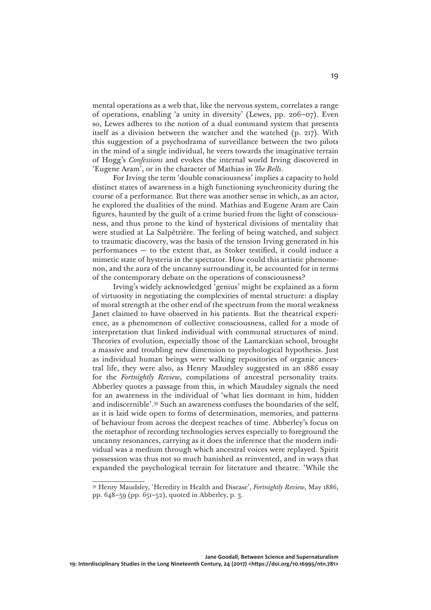mental operations as a web that, like the nervous system, correlates a range of operations, enabling 'a unity in diversity' (Lewes, pp. 206–07). Even so, Lewes adheres to the notion of a dual command system that presents itself as a division between the watcher and the watched (p. 217). With this suggestion of a psychodrama of surveillance between the two pilots in the mind of a single individual, he veers towards the imaginative terrain of Hogg's *Confessions* and evokes the internal world Irving discovered in 'Eugene Aram', or in the character of Mathias in *The Bells*.

For Irving the term 'double consciousness' implies a capacity to hold distinct states of awareness in a high functioning synchronicity during the course of a performance. But there was another sense in which, as an actor, he explored the dualities of the mind. Mathias and Eugene Aram are Cain figures, haunted by the guilt of a crime buried from the light of consciousness, and thus prone to the kind of hysterical divisions of mentality that were studied at La Salpêtrière. The feeling of being watched, and subject to traumatic discovery, was the basis of the tension Irving generated in his performances — to the extent that, as Stoker testified, it could induce a mimetic state of hysteria in the spectator. How could this artistic phenomenon, and the aura of the uncanny surrounding it, be accounted for in terms of the contemporary debate on the operations of consciousness?

Irving's widely acknowledged 'genius' might be explained as a form of virtuosity in negotiating the complexities of mental structure: a display of moral strength at the other end of the spectrum from the moral weakness Janet claimed to have observed in his patients. But the theatrical experience, as a phenomenon of collective consciousness, called for a mode of interpretation that linked individual with communal structures of mind. Theories of evolution, especially those of the Lamarckian school, brought a massive and troubling new dimension to psychological hypothesis. Just as individual human beings were walking repositories of organic ancestral life, they were also, as Henry Maudsley suggested in an 1886 essay for the *Fortnightly Review*, compilations of ancestral personality traits. Abberley quotes a passage from this, in which Maudsley signals the need for an awareness in the individual of 'what lies dormant in him, hidden and indiscernible'.39 Such an awareness confuses the boundaries of the self, as it is laid wide open to forms of determination, memories, and patterns of behaviour from across the deepest reaches of time. Abberley's focus on the metaphor of recording technologies serves especially to foreground the uncanny resonances, carrying as it does the inference that the modern individual was a medium through which ancestral voices were replayed. Spirit possession was thus not so much banished as reinvented, and in ways that expanded the psychological terrain for literature and theatre. 'While the

<sup>39</sup> Henry Maudsley, 'Heredity in Health and Disease', *Fortnightly Review*, May 1886, pp. 648–59 (pp. 651–52), quoted in Abberley, p. 3.